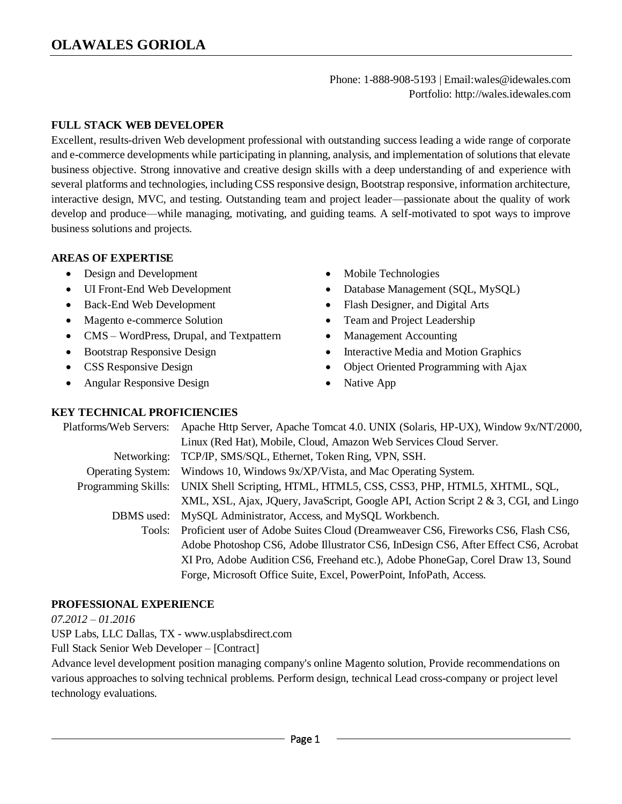Phone: 1-888-908-5193 | Email:wales@idewales.com Portfolio: http://wales.idewales.com

### **FULL STACK WEB DEVELOPER**

Excellent, results-driven Web development professional with outstanding success leading a wide range of corporate and e-commerce developments while participating in planning, analysis, and implementation of solutions that elevate business objective. Strong innovative and creative design skills with a deep understanding of and experience with several platforms and technologies, including CSS responsive design, Bootstrap responsive, information architecture, interactive design, MVC, and testing. Outstanding team and project leader—passionate about the quality of work develop and produce—while managing, motivating, and guiding teams. A self-motivated to spot ways to improve business solutions and projects.

#### **AREAS OF EXPERTISE**

- Design and Development
- UI Front-End Web Development
- Back-End Web Development
- Magento e-commerce Solution
- CMS WordPress, Drupal, and Textpattern
- Bootstrap Responsive Design
- CSS Responsive Design
- Angular Responsive Design
- Mobile Technologies
- Database Management (SQL, MySQL)
- Flash Designer, and Digital Arts
- Team and Project Leadership
- Management Accounting
- Interactive Media and Motion Graphics
- Object Oriented Programming with Ajax
- Native App

### **KEY TECHNICAL PROFICIENCIES**

| Platforms/Web Servers:     | Apache Http Server, Apache Tomcat 4.0. UNIX (Solaris, HP-UX), Window 9x/NT/2000,    |
|----------------------------|-------------------------------------------------------------------------------------|
|                            | Linux (Red Hat), Mobile, Cloud, Amazon Web Services Cloud Server.                   |
| Networking:                | TCP/IP, SMS/SQL, Ethernet, Token Ring, VPN, SSH.                                    |
| <b>Operating System:</b>   | Windows 10, Windows 9x/XP/Vista, and Mac Operating System.                          |
| <b>Programming Skills:</b> | UNIX Shell Scripting, HTML, HTML5, CSS, CSS3, PHP, HTML5, XHTML, SQL,               |
|                            | XML, XSL, Ajax, JQuery, JavaScript, Google API, Action Script 2 & 3, CGI, and Lingo |
| DBMS used:                 | MySQL Administrator, Access, and MySQL Workbench.                                   |
| Tools:                     | Proficient user of Adobe Suites Cloud (Dreamweaver CS6, Fireworks CS6, Flash CS6,   |
|                            | Adobe Photoshop CS6, Adobe Illustrator CS6, InDesign CS6, After Effect CS6, Acrobat |
|                            | XI Pro, Adobe Audition CS6, Freehand etc.), Adobe PhoneGap, Corel Draw 13, Sound    |
|                            | Forge, Microsoft Office Suite, Excel, PowerPoint, InfoPath, Access.                 |

### **PROFESSIONAL EXPERIENCE**

*07.2012 – 01.2016*

USP Labs, LLC Dallas, TX - www.usplabsdirect.com

Full Stack Senior Web Developer – [Contract]

Advance level development position managing company's online Magento solution, Provide recommendations on various approaches to solving technical problems. Perform design, technical Lead cross-company or project level technology evaluations.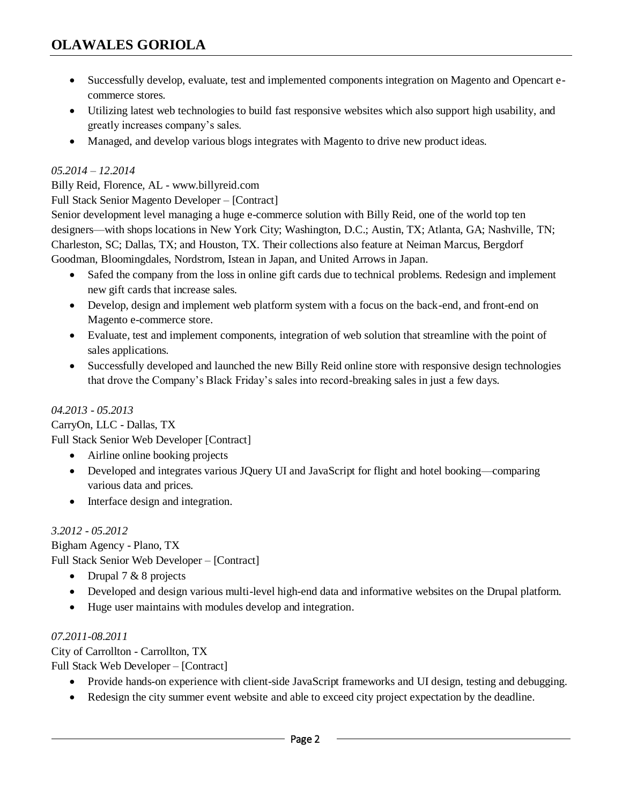- Successfully develop, evaluate, test and implemented components integration on Magento and Opencart ecommerce stores.
- Utilizing latest web technologies to build fast responsive websites which also support high usability, and greatly increases company's sales.
- Managed, and develop various blogs integrates with Magento to drive new product ideas.

### *05.2014 – 12.2014*

Billy Reid, Florence, AL - www.billyreid.com

Full Stack Senior Magento Developer – [Contract]

Senior development level managing a huge e-commerce solution with Billy Reid, one of the world top ten designers—with shops locations in New York City; Washington, D.C.; Austin, TX; Atlanta, GA; Nashville, TN; Charleston, SC; Dallas, TX; and Houston, TX. Their collections also feature at Neiman Marcus, Bergdorf Goodman, Bloomingdales, Nordstrom, Istean in Japan, and United Arrows in Japan.

- Safed the company from the loss in online gift cards due to technical problems. Redesign and implement new gift cards that increase sales.
- Develop, design and implement web platform system with a focus on the back-end, and front-end on Magento e-commerce store.
- Evaluate, test and implement components, integration of web solution that streamline with the point of sales applications.
- Successfully developed and launched the new Billy Reid online store with responsive design technologies that drove the Company's Black Friday's sales into record-breaking sales in just a few days.

# *04.2013 - 05.2013*

CarryOn, LLC - Dallas, TX Full Stack Senior Web Developer [Contract]

- Airline online booking projects
- Developed and integrates various JQuery UI and JavaScript for flight and hotel booking—comparing various data and prices.
- Interface design and integration.

# *3.2012 - 05.2012*

Bigham Agency - Plano, TX Full Stack Senior Web Developer – [Contract]

- Drupal  $7 & 8$  projects
- Developed and design various multi-level high-end data and informative websites on the Drupal platform.
- Huge user maintains with modules develop and integration.

# *07.2011-08.2011*

City of Carrollton - Carrollton, TX

Full Stack Web Developer – [Contract]

- Provide hands-on experience with client-side JavaScript frameworks and UI design, testing and debugging.
- Redesign the city summer event website and able to exceed city project expectation by the deadline.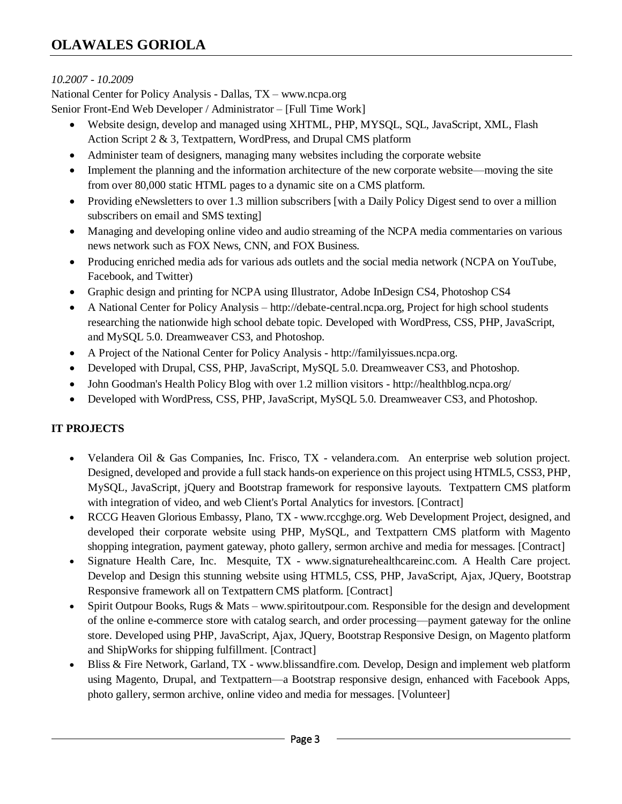### *10.2007 - 10.2009*

National Center for Policy Analysis - Dallas, TX – www.ncpa.org Senior Front-End Web Developer / Administrator – [Full Time Work]

- Website design, develop and managed using XHTML, PHP, MYSQL, SQL, JavaScript, XML, Flash Action Script 2 & 3, Textpattern, WordPress, and Drupal CMS platform
- Administer team of designers, managing many websites including the corporate website
- Implement the planning and the information architecture of the new corporate website—moving the site from over 80,000 static HTML pages to a dynamic site on a CMS platform.
- Providing eNewsletters to over 1.3 million subscribers [with a Daily Policy Digest send to over a million subscribers on email and SMS texting]
- Managing and developing online video and audio streaming of the NCPA media commentaries on various news network such as FOX News, CNN, and FOX Business.
- Producing enriched media ads for various ads outlets and the social media network (NCPA on YouTube, Facebook, and Twitter)
- Graphic design and printing for NCPA using Illustrator, Adobe InDesign CS4, Photoshop CS4
- A National Center for Policy Analysis http://debate-central.ncpa.org, Project for high school students researching the nationwide high school debate topic. Developed with WordPress, CSS, PHP, JavaScript, and MySQL 5.0. Dreamweaver CS3, and Photoshop.
- A Project of the National Center for Policy Analysis http://familyissues.ncpa.org.
- Developed with Drupal, CSS, PHP, JavaScript, MySQL 5.0. Dreamweaver CS3, and Photoshop.
- John Goodman's Health Policy Blog with over 1.2 million visitors http://healthblog.ncpa.org/
- Developed with WordPress, CSS, PHP, JavaScript, MySQL 5.0. Dreamweaver CS3, and Photoshop.

# **IT PROJECTS**

- Velandera Oil & Gas Companies, Inc. Frisco, TX velandera.com. An enterprise web solution project. Designed, developed and provide a full stack hands-on experience on this project using HTML5, CSS3, PHP, MySQL, JavaScript, jQuery and Bootstrap framework for responsive layouts. Textpattern CMS platform with integration of video, and web Client's Portal Analytics for investors. [Contract]
- RCCG Heaven Glorious Embassy, Plano, TX www.rccghge.org. Web Development Project, designed, and developed their corporate website using PHP, MySQL, and Textpattern CMS platform with Magento shopping integration, payment gateway, photo gallery, sermon archive and media for messages. [Contract]
- Signature Health Care, Inc. Mesquite, TX www.signaturehealthcareinc.com. A Health Care project. Develop and Design this stunning website using HTML5, CSS, PHP, JavaScript, Ajax, JQuery, Bootstrap Responsive framework all on Textpattern CMS platform. [Contract]
- Spirit Outpour Books, Rugs & Mats www.spiritoutpour.com. Responsible for the design and development of the online e-commerce store with catalog search, and order processing—payment gateway for the online store. Developed using PHP, JavaScript, Ajax, JQuery, Bootstrap Responsive Design, on Magento platform and ShipWorks for shipping fulfillment. [Contract]
- Bliss & Fire Network, Garland, TX www.blissandfire.com. Develop, Design and implement web platform using Magento, Drupal, and Textpattern—a Bootstrap responsive design, enhanced with Facebook Apps, photo gallery, sermon archive, online video and media for messages. [Volunteer]